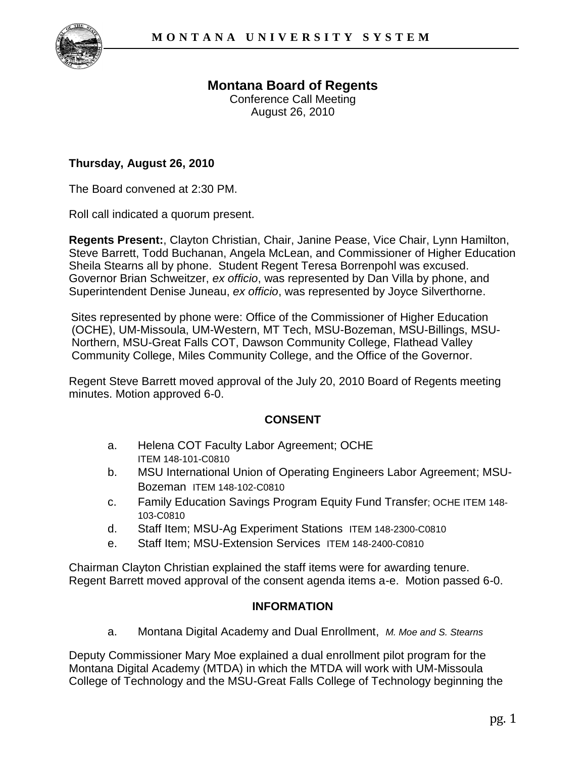

# **Montana Board of Regents**

Conference Call Meeting August 26, 2010

### **Thursday, August 26, 2010**

The Board convened at 2:30 PM.

Roll call indicated a quorum present.

**Regents Present:**, Clayton Christian, Chair, Janine Pease, Vice Chair, Lynn Hamilton, Steve Barrett, Todd Buchanan, Angela McLean, and Commissioner of Higher Education Sheila Stearns all by phone. Student Regent Teresa Borrenpohl was excused. Governor Brian Schweitzer, *ex officio*, was represented by Dan Villa by phone, and Superintendent Denise Juneau, *ex officio*, was represented by Joyce Silverthorne.

Sites represented by phone were: Office of the Commissioner of Higher Education (OCHE), UM-Missoula, UM-Western, MT Tech, MSU-Bozeman, MSU-Billings, MSU-Northern, MSU-Great Falls COT, Dawson Community College, Flathead Valley Community College, Miles Community College, and the Office of the Governor.

Regent Steve Barrett moved approval of the July 20, 2010 Board of Regents meeting minutes. Motion approved 6-0.

#### **CONSENT**

- a. Helena COT Faculty Labor Agreement; OCHE ITEM 148-101-C0810
- b. MSU International Union of Operating Engineers Labor Agreement; MSU-Bozeman ITEM 148-102-C0810
- c. Family Education Savings Program Equity Fund Transfer; OCHE ITEM 148- 103-C0810
- d. Staff Item; MSU-Ag Experiment Stations ITEM 148-2300-C0810
- e. Staff Item; MSU-Extension Services ITEM 148-2400-C0810

Chairman Clayton Christian explained the staff items were for awarding tenure. Regent Barrett moved approval of the consent agenda items a-e. Motion passed 6-0.

#### **INFORMATION**

a. Montana Digital Academy and Dual Enrollment, *M. Moe and S. Stearns*

Deputy Commissioner Mary Moe explained a dual enrollment pilot program for the Montana Digital Academy (MTDA) in which the MTDA will work with UM-Missoula College of Technology and the MSU-Great Falls College of Technology beginning the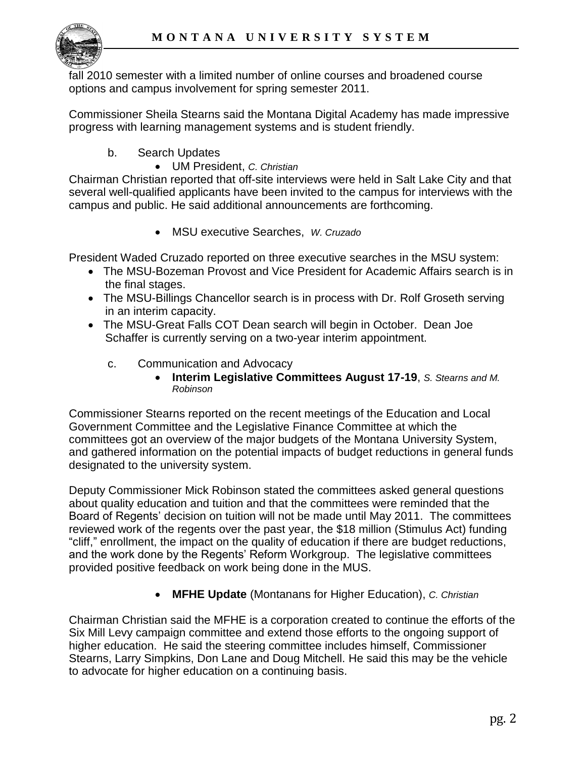

fall 2010 semester with a limited number of online courses and broadened course options and campus involvement for spring semester 2011.

Commissioner Sheila Stearns said the Montana Digital Academy has made impressive progress with learning management systems and is student friendly.

- b. Search Updates
	- UM President, *C. Christian*

Chairman Christian reported that off-site interviews were held in Salt Lake City and that several well-qualified applicants have been invited to the campus for interviews with the campus and public. He said additional announcements are forthcoming.

MSU executive Searches, *W. Cruzado*

President Waded Cruzado reported on three executive searches in the MSU system:

- The MSU-Bozeman Provost and Vice President for Academic Affairs search is in the final stages.
- The MSU-Billings Chancellor search is in process with Dr. Rolf Groseth serving in an interim capacity.
- The MSU-Great Falls COT Dean search will begin in October. Dean Joe Schaffer is currently serving on a two-year interim appointment.
	- c. Communication and Advocacy
		- **Interim Legislative Committees August 17-19**, *S. Stearns and M. Robinson*

Commissioner Stearns reported on the recent meetings of the Education and Local Government Committee and the Legislative Finance Committee at which the committees got an overview of the major budgets of the Montana University System, and gathered information on the potential impacts of budget reductions in general funds designated to the university system.

Deputy Commissioner Mick Robinson stated the committees asked general questions about quality education and tuition and that the committees were reminded that the Board of Regents' decision on tuition will not be made until May 2011. The committees reviewed work of the regents over the past year, the \$18 million (Stimulus Act) funding "cliff," enrollment, the impact on the quality of education if there are budget reductions, and the work done by the Regents' Reform Workgroup. The legislative committees provided positive feedback on work being done in the MUS.

**MFHE Update** (Montanans for Higher Education), *C. Christian*

Chairman Christian said the MFHE is a corporation created to continue the efforts of the Six Mill Levy campaign committee and extend those efforts to the ongoing support of higher education. He said the steering committee includes himself, Commissioner Stearns, Larry Simpkins, Don Lane and Doug Mitchell. He said this may be the vehicle to advocate for higher education on a continuing basis.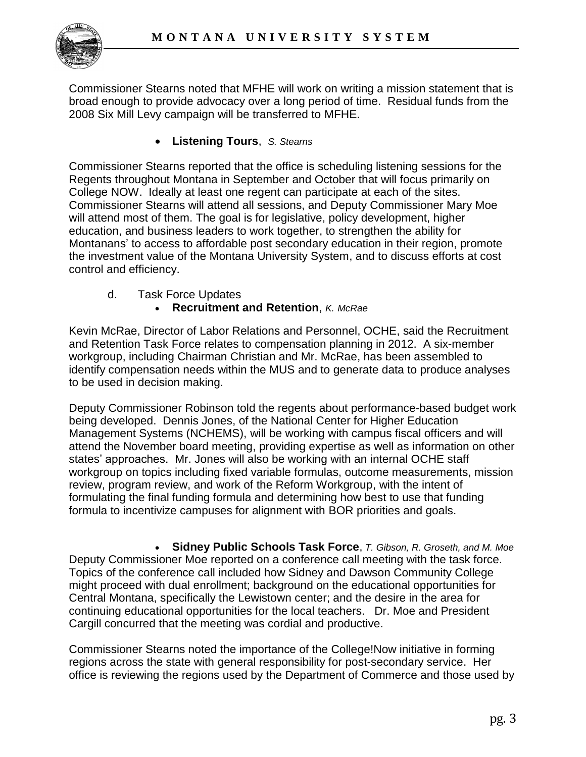

Commissioner Stearns noted that MFHE will work on writing a mission statement that is broad enough to provide advocacy over a long period of time. Residual funds from the 2008 Six Mill Levy campaign will be transferred to MFHE.

**Listening Tours**, *S. Stearns*

Commissioner Stearns reported that the office is scheduling listening sessions for the Regents throughout Montana in September and October that will focus primarily on College NOW. Ideally at least one regent can participate at each of the sites. Commissioner Stearns will attend all sessions, and Deputy Commissioner Mary Moe will attend most of them. The goal is for legislative, policy development, higher education, and business leaders to work together, to strengthen the ability for Montanans' to access to affordable post secondary education in their region, promote the investment value of the Montana University System, and to discuss efforts at cost control and efficiency.

d. Task Force Updates

## **Recruitment and Retention**, *K. McRae*

Kevin McRae, Director of Labor Relations and Personnel, OCHE, said the Recruitment and Retention Task Force relates to compensation planning in 2012. A six-member workgroup, including Chairman Christian and Mr. McRae, has been assembled to identify compensation needs within the MUS and to generate data to produce analyses to be used in decision making.

Deputy Commissioner Robinson told the regents about performance-based budget work being developed. Dennis Jones, of the National Center for Higher Education Management Systems (NCHEMS), will be working with campus fiscal officers and will attend the November board meeting, providing expertise as well as information on other states' approaches. Mr. Jones will also be working with an internal OCHE staff workgroup on topics including fixed variable formulas, outcome measurements, mission review, program review, and work of the Reform Workgroup, with the intent of formulating the final funding formula and determining how best to use that funding formula to incentivize campuses for alignment with BOR priorities and goals.

 **Sidney Public Schools Task Force**, *T. Gibson, R. Groseth, and M. Moe* Deputy Commissioner Moe reported on a conference call meeting with the task force. Topics of the conference call included how Sidney and Dawson Community College might proceed with dual enrollment; background on the educational opportunities for Central Montana, specifically the Lewistown center; and the desire in the area for continuing educational opportunities for the local teachers. Dr. Moe and President Cargill concurred that the meeting was cordial and productive.

Commissioner Stearns noted the importance of the College!Now initiative in forming regions across the state with general responsibility for post-secondary service. Her office is reviewing the regions used by the Department of Commerce and those used by